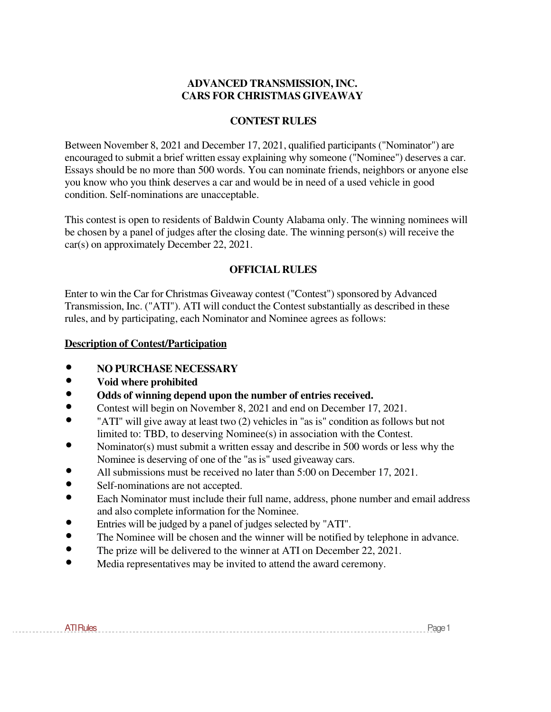## **ADVANCED TRANSMISSION, INC. CARS FOR CHRISTMAS GIVEAWAY**

## **CONTEST RULES**

Between November 8, 2021 and December 17, 2021, qualified participants ("Nominator") are encouraged to submit a brief written essay explaining why someone ("Nominee") deserves a car. Essays should be no more than 500 words. You can nominate friends, neighbors or anyone else you know who you think deserves a car and would be in need of a used vehicle in good condition. Self-nominations are unacceptable.

This contest is open to residents of Baldwin County Alabama only. The winning nominees will be chosen by a panel of judges after the closing date. The winning person(s) will receive the car(s) on approximately December 22, 2021.

# **OFFICIAL RULES**

Enter to win the Car for Christmas Giveaway contest ("Contest") sponsored by Advanced Transmission, Inc. ("ATI"). ATI will conduct the Contest substantially as described in these rules, and by participating, each Nominator and Nominee agrees as follows:

## **Description of Contest/Participation**

- **NO PURCHASE NECESSARY**
- **Void where prohibited**
- **Odds of winning depend upon the number of entries received.**<br>• Contest will begin on November 8, 2021 and end on December 11
- Contest will begin on November 8, 2021 and end on December 17, 2021.
- "ATI" will give away at least two (2) vehicles in "as is" condition as follows but not limited to: TBD, to deserving Nominee(s) in association with the Contest.
- Nominator(s) must submit a written essay and describe in 500 words or less why the Nominee is deserving of one of the "as is" used giveaway cars.
- All submissions must be received no later than 5:00 on December 17, 2021.
- Self-nominations are not accepted.
- Each Nominator must include their full name, address, phone number and email address and also complete information for the Nominee.
- Entries will be judged by a panel of judges selected by "ATI".
- The Nominee will be chosen and the winner will be notified by telephone in advance.<br>• The prize will be delivered to the winner at ATI on December 22, 2021
- The prize will be delivered to the winner at ATI on December 22, 2021.
- Media representatives may be invited to attend the award ceremony.

ATIRules 2008 - 2009 - 2009 - 2009 - 2010 - 2010 - 2010 - 2010 - 2010 - 2010 - 2010 - 2010 - 2010 - 2010 - 201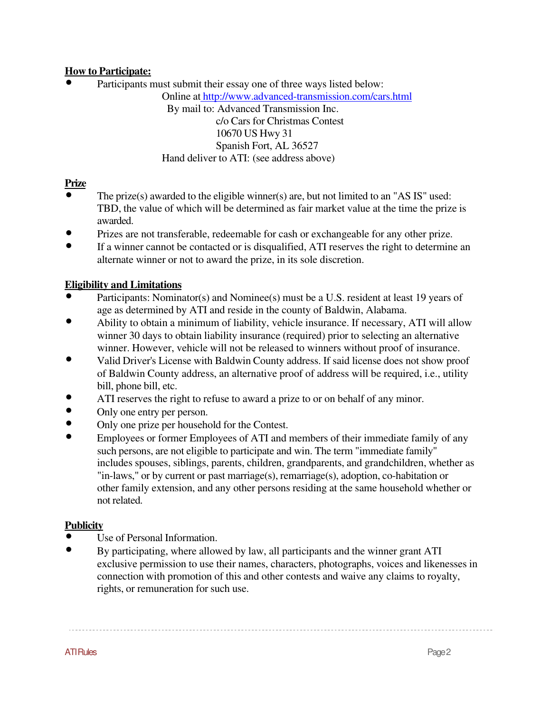# **How to Participate:**

• Participants must submit their essay one of three ways listed below:

Online at http://www.advanced-transmission.com/cars.html

By mail to: Advanced Transmission Inc. c/o Cars for Christmas Contest 10670 US Hwy 31 Spanish Fort, AL 36527 Hand deliver to ATI: (see address above)

# **Prize** •

- The prize(s) awarded to the eligible winner(s) are, but not limited to an "AS IS" used: TBD, the value of which will be determined as fair market value at the time the prize is awarded.
- Prizes are not transferable, redeemable for cash or exchangeable for any other prize.
- If a winner cannot be contacted or is disqualified, ATI reserves the right to determine an alternate winner or not to award the prize, in its sole discretion.

# **Eligibility and Limitations**

- Participants: Nominator(s) and Nominee(s) must be a U.S. resident at least 19 years of age as determined by ATI and reside in the county of Baldwin, Alabama.
- Ability to obtain a minimum of liability, vehicle insurance. If necessary, ATI will allow winner 30 days to obtain liability insurance (required) prior to selecting an alternative winner. However, vehicle will not be released to winners without proof of insurance.
- Valid Driver's License with Baldwin County address. If said license does not show proof of Baldwin County address, an alternative proof of address will be required, i.e., utility bill, phone bill, etc.
- ATI reserves the right to refuse to award a prize to or on behalf of any minor.
- Only one entry per person.
- Only one prize per household for the Contest.
- Employees or former Employees of ATI and members of their immediate family of any such persons, are not eligible to participate and win. The term "immediate family" includes spouses, siblings, parents, children, grandparents, and grandchildren, whether as "in-laws," or by current or past marriage(s), remarriage(s), adoption, co-habitation or other family extension, and any other persons residing at the same household whether or not related.

# **Publicity**

- Use of Personal Information.
- By participating, where allowed by law, all participants and the winner grant ATI exclusive permission to use their names, characters, photographs, voices and likenesses in connection with promotion of this and other contests and waive any claims to royalty, rights, or remuneration for such use.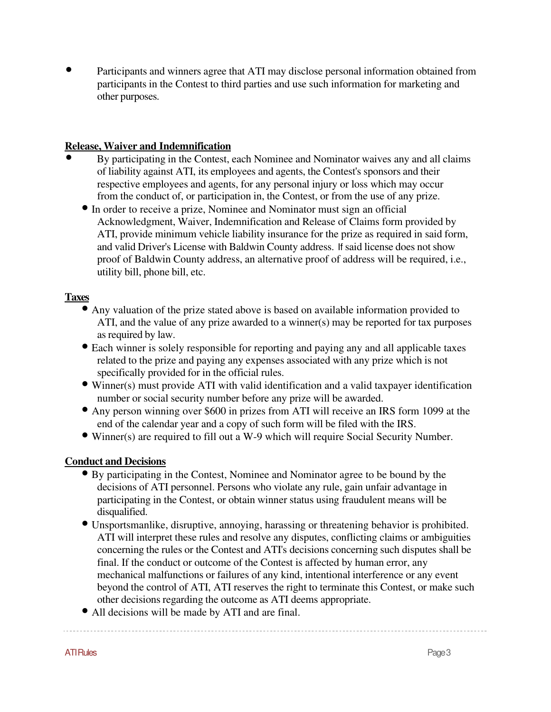• Participants and winners agree that ATI may disclose personal information obtained from participants in the Contest to third parties and use such information for marketing and other purposes.

## **Release, Waiver and Indemnification**

- By participating in the Contest, each Nominee and Nominator waives any and all claims of liability against ATI, its employees and agents, the Contest's sponsors and their respective employees and agents, for any personal injury or loss which may occur from the conduct of, or participation in, the Contest, or from the use of any prize.
	- In order to receive a prize, Nominee and Nominator must sign an official Acknowledgment, Waiver, Indemnification and Release of Claims form provided by ATI, provide minimum vehicle liability insurance for the prize as required in said form, and valid Driver's License with Baldwin County address. If said license does not show proof of Baldwin County address, an alternative proof of address will be required, i.e., utility bill, phone bill, etc.

### **Taxes**

- Any valuation of the prize stated above is based on available information provided to ATI, and the value of any prize awarded to a winner(s) may be reported for tax purposes as required by law.
- Each winner is solely responsible for reporting and paying any and all applicable taxes related to the prize and paying any expenses associated with any prize which is not specifically provided for in the official rules.
- Winner(s) must provide ATI with valid identification and a valid taxpayer identification number or social security number before any prize will be awarded.
- Any person winning over \$600 in prizes from ATI will receive an IRS form 1099 at the end of the calendar year and a copy of such form will be filed with the IRS.
- Winner(s) are required to fill out a W-9 which will require Social Security Number.

## **Conduct and Decisions**

- By participating in the Contest, Nominee and Nominator agree to be bound by the decisions of ATI personnel. Persons who violate any rule, gain unfair advantage in participating in the Contest, or obtain winner status using fraudulent means will be disqualified.
- Unsportsmanlike, disruptive, annoying, harassing or threatening behavior is prohibited. ATI will interpret these rules and resolve any disputes, conflicting claims or ambiguities concerning the rules or the Contest and ATI's decisions concerning such disputes shall be final. If the conduct or outcome of the Contest is affected by human error, any mechanical malfunctions or failures of any kind, intentional interference or any event beyond the control of ATI, ATI reserves the right to terminate this Contest, or make such other decisions regarding the outcome as ATI deems appropriate.
- All decisions will be made by ATI and are final.